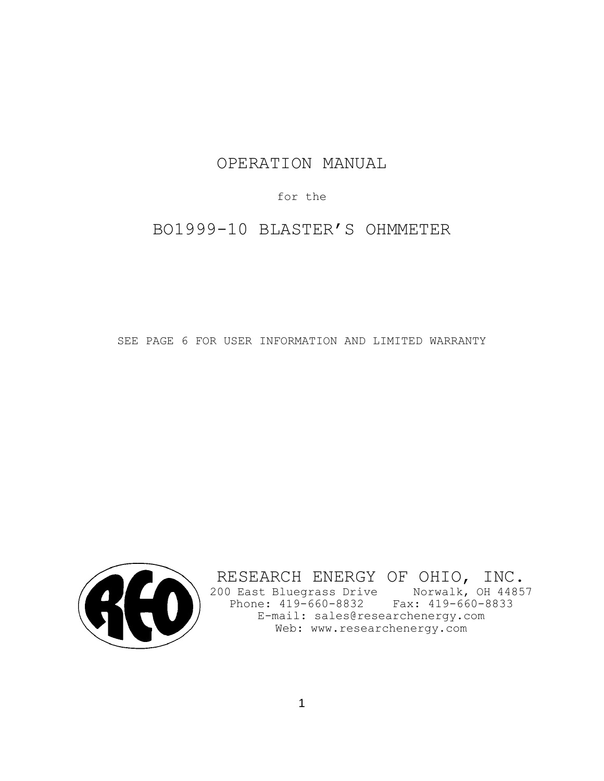# OPERATION MANUAL

for the

BO1999-10 BLASTER'S OHMMETER

SEE PAGE 6 FOR USER INFORMATION AND LIMITED WARRANTY



RESEARCH ENERGY OF OHIO, INC. 200 East Bluegrass Drive Norwalk, OH 44857 Phone: 419-660-8832 Fax: 419-660-8833 E-mail: sales@researchenergy.com E-mail: sales@researchenergy.com<br>Web: www.researchenergy.com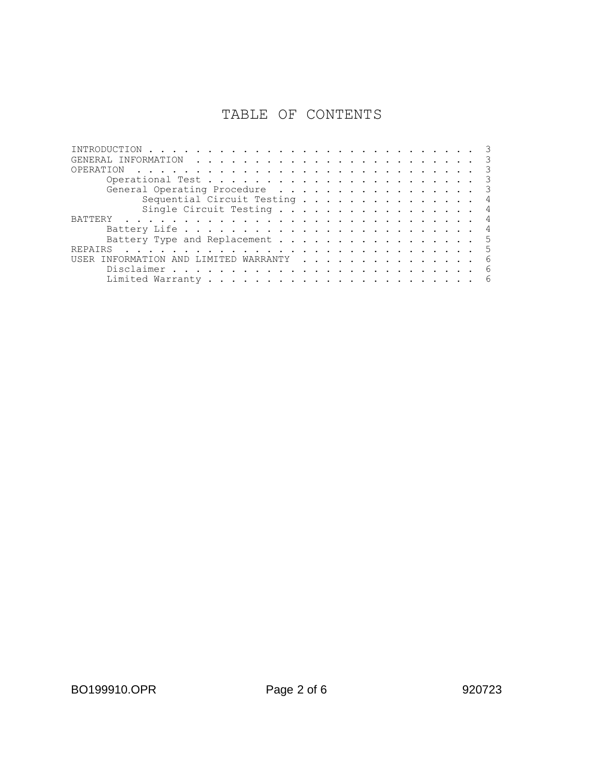# TABLE OF CONTENTS

| OPERATION<br>the contract of the contract of the contract of the contract of the contract of the contract of the contract of                                                                                                                    |    |
|-------------------------------------------------------------------------------------------------------------------------------------------------------------------------------------------------------------------------------------------------|----|
|                                                                                                                                                                                                                                                 |    |
| General Operating Procedure                                                                                                                                                                                                                     |    |
| Sequential Circuit Testing                                                                                                                                                                                                                      |    |
| Single Circuit Testing                                                                                                                                                                                                                          |    |
| <b>BATTERY</b><br>a constitution of the constitution of the constitution of the constitution of the constitution of the constitution of the constitution of the constitution of the constitution of the constitution of the constitution of the |    |
|                                                                                                                                                                                                                                                 |    |
| Battery Type and Replacement                                                                                                                                                                                                                    | -5 |
| <b>REPATRS</b>                                                                                                                                                                                                                                  |    |
| LIMITED WARRANTY<br>INFORMATION<br>AND<br><b>IISER</b>                                                                                                                                                                                          | 6  |
|                                                                                                                                                                                                                                                 |    |
|                                                                                                                                                                                                                                                 |    |
|                                                                                                                                                                                                                                                 |    |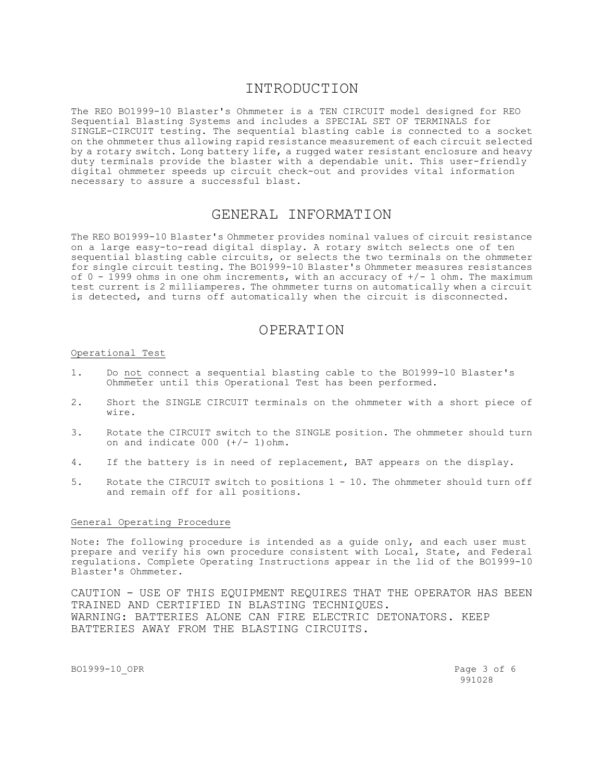### INTRODUCTION

The REO BO1999-10 Blaster's Ohmmeter is a TEN CIRCUIT model designed for REO Sequential Blasting Systems and includes a SPECIAL SET OF TERMINALS for SINGLE-CIRCUIT testing. The sequential blasting cable is connected to a socket on the ohmmeter thus allowing rapid resistance measurement of each circuit selected by a rotary switch. Long battery life, a rugged water resistant enclosure and heavy duty terminals provide the blaster with a dependable unit. This user-friendly digital ohmmeter speeds up circuit check-out and provides vital information necessary to assure a successful blast.

### GENERAL INFORMATION

The REO BO1999-10 Blaster's Ohmmeter provides nominal values of circuit resistance on a large easy-to-read digital display. A rotary switch selects one of ten sequential blasting cable circuits, or selects the two terminals on the ohmmeter for single circuit testing. The BO1999-10 Blaster's Ohmmeter measures resistances of  $0 - 1999$  ohms in one ohm increments, with an accuracy of  $+/- 1$  ohm. The maximum test current is 2 milliamperes. The ohmmeter turns on automatically when a circuit is detected, and turns off automatically when the circuit is disconnected.

## OPERATION

#### Operational Test

- 1. Do not connect a sequential blasting cable to the BO1999-10 Blaster's Ohmmeter until this Operational Test has been performed.
- 2. Short the SINGLE CIRCUIT terminals on the ohmmeter with a short piece of wire.
- 3. Rotate the CIRCUIT switch to the SINGLE position. The ohmmeter should turn on and indicate  $000 (+/- 1)$ ohm.
- 4. If the battery is in need of replacement, BAT appears on the display.
- 5. Rotate the CIRCUIT switch to positions 1 10. The ohmmeter should turn off and remain off for all positions.

#### General Operating Procedure

Note: The following procedure is intended as a guide only, and each user must prepare and verify his own procedure consistent with Local, State, and Federal regulations. Complete Operating Instructions appear in the lid of the BO1999-10 Blaster's Ohmmeter.

CAUTION - USE OF THIS EQUIPMENT REQUIRES THAT THE OPERATOR HAS BEEN TRAINED AND CERTIFIED IN BLASTING TECHNIQUES. WARNING: BATTERIES ALONE CAN FIRE ELECTRIC DETONATORS. KEEP BATTERIES AWAY FROM THE BLASTING CIRCUITS.

BO1999-10 OPR Page 3 of 6

991028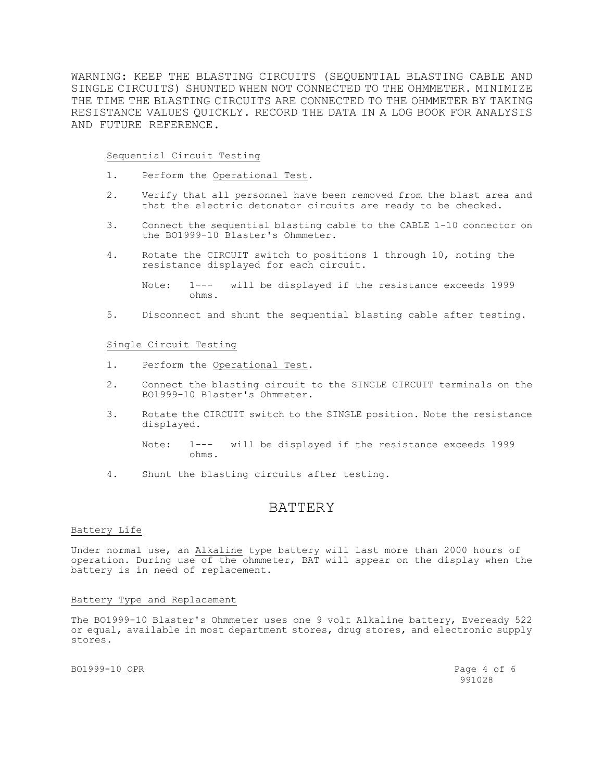WARNING: KEEP THE BLASTING CIRCUITS (SEQUENTIAL BLASTING CABLE AND SINGLE CIRCUITS) SHUNTED WHEN NOT CONNECTED TO THE OHMMETER. MINIMIZE THE TIME THE BLASTING CIRCUITS ARE CONNECTED TO THE OHMMETER BY TAKING RESISTANCE VALUES QUICKLY. RECORD THE DATA IN A LOG BOOK FOR ANALYSIS AND FUTURE REFERENCE.

Sequential Circuit Testing

- 1. Perform the Operational Test.
- 2. Verify that all personnel have been removed from the blast area and that the electric detonator circuits are ready to be checked.
- 3. Connect the sequential blasting cable to the CABLE 1-10 connector on the BO1999-10 Blaster's Ohmmeter.
- 4. Rotate the CIRCUIT switch to positions 1 through 10, noting the resistance displayed for each circuit.

Note: 1--- will be displayed if the resistance exceeds 1999 ohms.

5. Disconnect and shunt the sequential blasting cable after testing.

#### Single Circuit Testing

- 1. Perform the Operational Test.
- 2. Connect the blasting circuit to the SINGLE CIRCUIT terminals on the BO1999-10 Blaster's Ohmmeter.
- 3. Rotate the CIRCUIT switch to the SINGLE position. Note the resistance displayed.

Note: 1--- will be displayed if the resistance exceeds 1999 ohms.

4. Shunt the blasting circuits after testing.

## **BATTERY**

#### Battery Life

Under normal use, an Alkaline type battery will last more than 2000 hours of operation. During use of the ohmmeter, BAT will appear on the display when the battery is in need of replacement.

#### Battery Type and Replacement

The BO1999-10 Blaster's Ohmmeter uses one 9 volt Alkaline battery, Eveready 522 or equal, available in most department stores, drug stores, and electronic supply stores.

BO1999-10 OPR Page 4 of 6

991028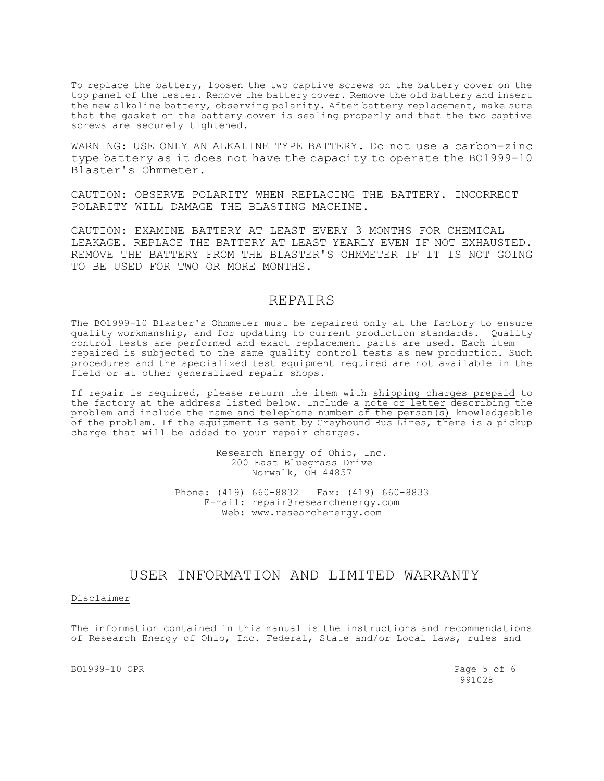To replace the battery, loosen the two captive screws on the battery cover on the top panel of the tester. Remove the battery cover. Remove the old battery and insert the new alkaline battery, observing polarity. After battery replacement, make sure that the gasket on the battery cover is sealing properly and that the two captive screws are securely tightened.

WARNING: USE ONLY AN ALKALINE TYPE BATTERY. Do not use a carbon-zinc type battery as it does not have the capacity to operate the BO1999-10 Blaster's Ohmmeter.

CAUTION: OBSERVE POLARITY WHEN REPLACING THE BATTERY. INCORRECT POLARITY WILL DAMAGE THE BLASTING MACHINE.

CAUTION: EXAMINE BATTERY AT LEAST EVERY 3 MONTHS FOR CHEMICAL LEAKAGE. REPLACE THE BATTERY AT LEAST YEARLY EVEN IF NOT EXHAUSTED. REMOVE THE BATTERY FROM THE BLASTER'S OHMMETER IF IT IS NOT GOING TO BE USED FOR TWO OR MORE MONTHS.

### REPAIRS

The BO1999-10 Blaster's Ohmmeter must be repaired only at the factory to ensure quality workmanship, and for updating to current production standards. Quality control tests are performed and exact replacement parts are used. Each item repaired is subjected to the same quality control tests as new production. Such procedures and the specialized test equipment required are not available in the field or at other generalized repair shops.

If repair is required, please return the item with shipping charges prepaid to the factory at the address listed below. Include a note or letter describing the problem and include the name and telephone number of the person(s) knowledgeable of the problem. If the equipment is sent by Greyhound Bus Lines, there is a pickup charge that will be added to your repair charges.

> Research Energy of Ohio, Inc. 200 East Bluegrass Drive Norwalk, OH 44857 Phone: (419) 660-8832 Fax: (419) 660-8833

E-mail: repair@researchenergy.com Web: www.researchenergy.com

### USER INFORMATION AND LIMITED WARRANTY

Disclaimer

The information contained in this manual is the instructions and recommendations of Research Energy of Ohio, Inc. Federal, State and/or Local laws, rules and

BO1999-10 OPR Page 5 of 6

991028